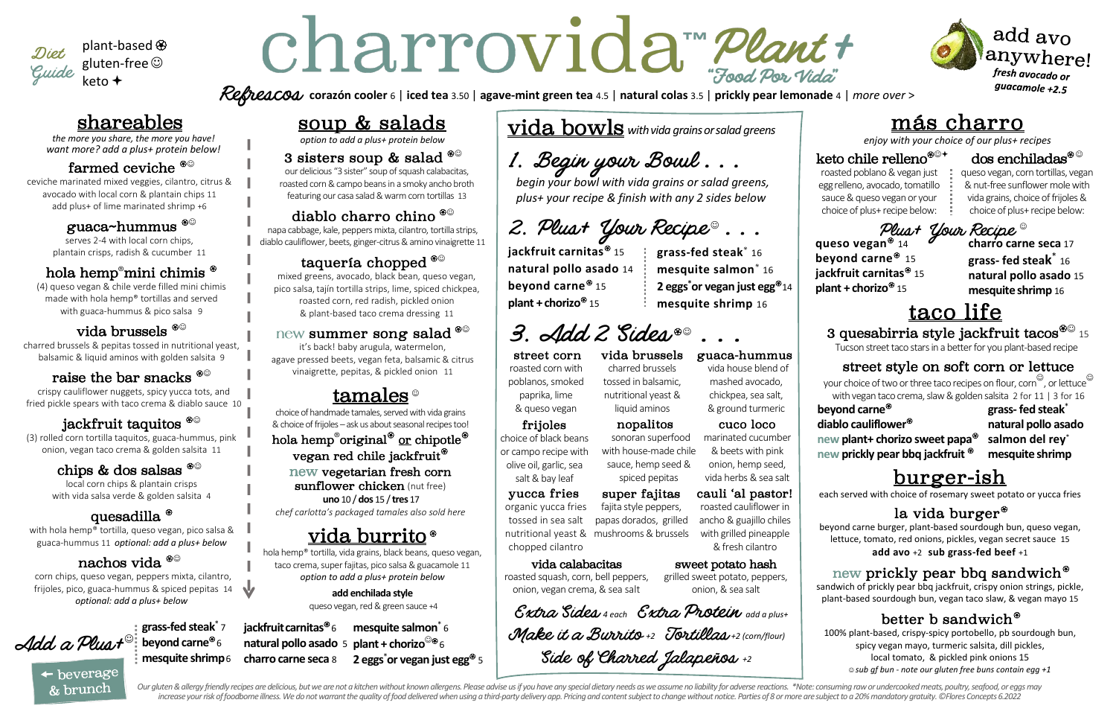# soup & salads

*option to add a plus+ protein below* 

#### 3 sisters soup & salad  $^{\circ\circ}$

our delicious "3 sister" soup of squash calabacitas, roasted corn&campo beans in a smoky ancho broth featuring our casa salad & warm corn tortillas 13

## diablo charro chino  $^{\circledast\circ}$

napa cabbage, kale, peppers mixta, cilantro, tortilla strips, diablo cauliflower, beets, ginger-citrus & amino vinaigrette 11

## taquería chopped  $^{\circledast\circledast}$

mixed greens, avocado, black bean, queso vegan, pico salsa, tajín tortilla strips, lime, spiced chickpea, roasted corn, red radish, pickled onion & plant-based taco crema dressing 11

#### summer song salad  $e^{\otimes \mathbb{Q}}$

sunflower chicken (nut free) **uno**10 / **dos** 15 / **tres** 17 *chef carlotta's packaged tamales also sold here* 

# <u>vida burrito</u>\*

it's back! baby arugula, watermelon, agave pressed beets, vegan feta, balsamic & citrus vinaigrette, pepitas, & pickled onion 11

# tamales  $^{\circ}$

choice of handmade tamales, served with vida grains & choice of frijoles – ask us about seasonal recipes too! hola hemp<sup>®</sup>original<sup><sup>®</sup> or chipotle<sup><sup>®</sup></sup></sup> vegan red chile jackfruit new vegetarian fresh corn

3 quesabirria style jackfruit tacos $^{\mathcal{\$}\odot}$  15 Tucson street taco starsin a better for you plant-based recipe

hola hemp® tortilla, vida grains, black beans, queso vegan, taco crema, super fajitas, pico salsa & guacamole 11 *option to add a plus+ protein below* 

#### **add enchilada style**

queso vegan, red & green sauce +4

**jackfruit carnitas**<sup><sup>®</sup> 6</sup> **natural pollo asado** 5 **plant + chorizo**☺<sup>6</sup> **charro carne seca** 8 **mesquite salmon**\* 6 **2** eggs<sup>\*</sup>or vegan just egg<sup>®</sup> 5

N,

# más charro

*enjoy with your choice of our plus+ recipes*

### keto chile relleno<sup>���+</sup>

roasted poblano & vegan just egg relleno, avocado,tomatillo sauce & queso vegan or your choice of plus+ recipe below:

**queso vegan**<sup> $\circledast$ </sup> 14 **beyond carne**<sup> $\circledast$ </sup> 15 **jackfruit carnitas**<sup><sup> $\circledast$ </sup> 15</sup> **plant + chorizo**<sup> $\circledast$ </sup> 15

### dos enchiladas $^\circledast$

queso vegan, corn tortillas, vegan & nut-free sunflower mole with vida grains, choice of frijoles & choice of plus+ recipe below:

**charro carne seca** 17 **grass- fed steak** \* 16 **natural pollo asado** 15 **mesquite shrimp** 16 Plust Your Recipe

# taco life

### street style on soft corn or lettuce

your choice of two or three taco recipes on flour, corn $^\copyright$  , or lettuce $^\copyright$ with vegan taco crema, slaw & golden salsita 2 for 11 | 3 for 16

#### **beyond carne**

**diablo cauliflower** 



plant-based gluten-free keto +

> **new plant+ chorizo sweet papa new prickly pear bbq jackfruit**

**grass- fed steak** \* **natural pollo asado salmon del rey** \* **mesquite shrimp**

# shareables

*the more you share, the more you have! want more? add a plus+ protein below!*

#### farmed ceviche  $^{\circledast\circledcirc}$

ceviche marinated mixed veggies, cilantro, citrus & avocado with local corn & plantain chips 11 add plus+ of lime marinated shrimp +6

#### guaca~hummus ☺

serves 2-4 with local corn chips, plantain crisps, radish & cucumber 11

#### hola hemp®mini chimis  $^{\circledast}$

(4) queso vegan & chile verde filled mini chimis made with hola hemp® tortillas and served with guaca-hummus & pico salsa 9

#### vida brussels  $^{\circledast\circledcirc}$

charred brussels & pepitas tossed in nutritional yeast, balsamic & liquid aminos with golden salsita 9

#### raise the bar snacks  $^{\circledast\odot}$

crispy cauliflower nuggets, spicy yucca tots, and fried pickle spears with taco crema & diablo sauce 10

## jackfruit taquitos  $^{\circledast\circledcirc}$

#### Add a Pluat **grass-fed steak**\* 7 **beyond carne**<sup><sup> $\circledast$ </sup>6</sup> **mesquite shrimp**6

 $\leftarrow$  beverage & brunch

# Charrovida Meant

(3) rolled corn tortilla taquitos, guaca-hummus, pink onion, vegan taco crema & golden salsita 11

#### chips & dos salsas  $^{\circledast\odot}$

local corn chips & plantain crisps with vida salsa verde & golden salsita 4

#### quesadilla  $^\circledast$

with hola hemp® tortilla, queso vegan, pico salsa & guaca-hummus 11 *optional: add a plus+ below* 

### nachos vida  $^{\circledast\circledcirc}$

corn chips, queso vegan, peppers mixta, cilantro, frijoles, pico, guaca-hummus & spiced pepitas 14 *optional: add a plus+ below* 

#### street corn

roasted corn with poblanos, smoked paprika, lime & queso vegan

# burger-ish

each served with choice of rosemary sweet potato or yucca fries

# la vida burger $^\circledast$

vida bowls *withvida grainsorsalad greens*

1. Begin your Bouil . . .

*begin your bowl with vida grains or salad greens, plus+ your recipe & finish with any 2 sides below*

vida brussels charred brussels tossed in balsamic,



add avo anywhere! fresh avocado or guacamole  $+2.5$ 

nutritional yeast &

guaca-hummus vida house blend of mashed avocado, chickpea, sea salt, & ground turmeric

#### frijoles

choice of black beans or campo recipe with olive oil, garlic, sea salt & bay leaf

#### cuco loco

liquid aminos nopalitos sonoran superfood

marinated cucumber & beets with pink onion, hemp seed, vida herbs & sea salt

**corazón cooler** 6 | **iced tea** 3.50 | **agave-mint green tea** 4.5 | **natural colas** 3.5 | **prickly pear lemonade** 4 | *more over* >

with house-made chile sauce, hemp seed &

spiced pepitas

2. Plust Your Recipe  $\degree$  . . .

**jackfruit carnitas**<sup> $\circledast$ </sup>15 **natural pollo asado** 14 **beyond carne**<sup>®</sup> 15 **plant + chorizo**<sup> $\circledast$ </sup> 15

> beyond carne burger, plant-based sourdough bun, queso vegan, lettuce, tomato, red onions, pickles, vegan secret sauce 15 **add avo** +2 **sub grass-fed beef** +1

# new prickly pear bbq sandwich $^\circledast$

sandwich of prickly pear bbq jackfruit, crispy onion strings, pickle, plant-based sourdough bun, vegan taco slaw, & vegan mayo 15

# better b sandwich $^\circledast$

100% plant-based, crispy-spicy portobello, pb sourdough bun, spicy vegan mayo, turmeric salsita, dill pickles, local tomato, & pickled pink onions 15 ☺ *sub gf bun - note our gluten free buns contain egg +1*

Our gluten & allergy friendly recipes are delicious, but we are not a kitchen without known allergens. Please advise us if you have any special dietary needs as we assume no liability for adverse reactions. \*Note: consumin increase your risk of foodborne illness. We do not warrant the quality of food delivered when using a third-party delivery app. Pricing and content subject to change without notice. Parties of 8 or more are subject to a 20

#### cauli 'al pastor! roasted cauliflower in ancho & guajillo chiles

with grilled pineapple & fresh cilantro

#### yucca fries

organic yucca fries tossed in sea salt nutritional yeast & mushrooms & brussels chopped cilantro

#### super fajitas fajita style peppers,

papas dorados, grilled

**grass-fed steak**\* 16 **mesquite salmon**\* 16 **2** eggs $^*$ or vegan just egg $^{\circledast}$ 14 **mesquite shrimp** 16

# 3. Add 2 Sides.®

#### vida calabacitas

roasted squash, corn, bell peppers, onion, vegan crema, & sea salt

# sweet potato hash

Make it a Burrito +2 Tortillas +2 (corn/flour)

grilled sweet potato, peppers, onion, & sea salt

*Extra Sides 4 each Extra Protein add a plus+* Side of Charred Jalapeños +2